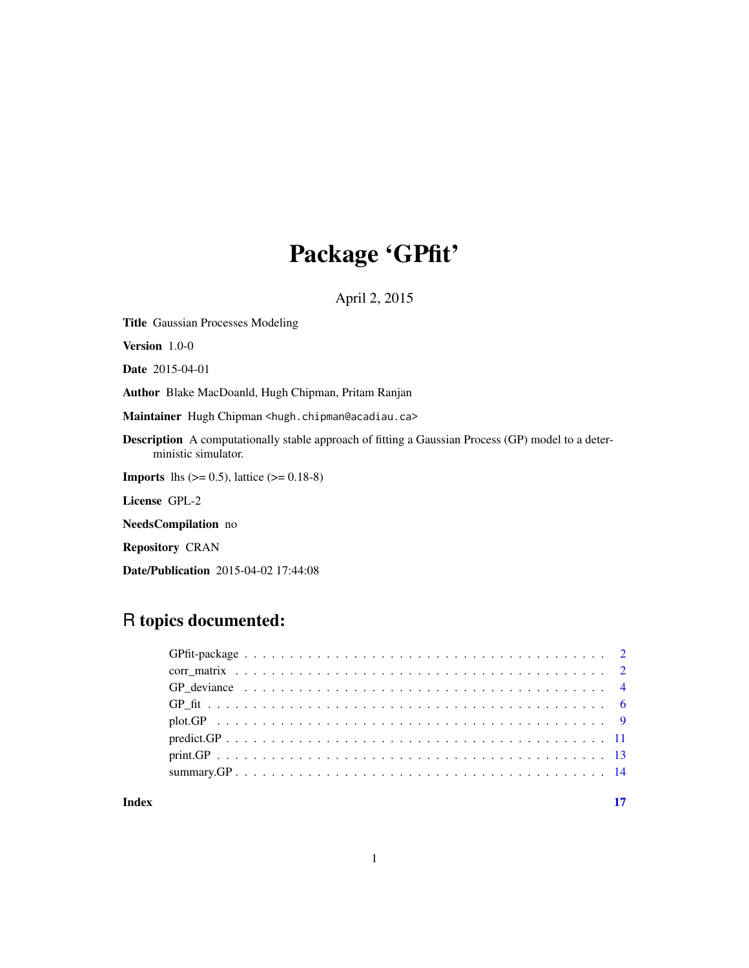## Package 'GPfit'

April 2, 2015

Version 1.0-0 Date 2015-04-01 Author Blake MacDoanld, Hugh Chipman, Pritam Ranjan Maintainer Hugh Chipman <hugh.chipman@acadiau.ca> Description A computationally stable approach of fitting a Gaussian Process (GP) model to a deterministic simulator. **Imports** lhs  $(>= 0.5)$ , lattice  $(>= 0.18-8)$ License GPL-2 NeedsCompilation no Repository CRAN Date/Publication 2015-04-02 17:44:08

## R topics documented:

<span id="page-0-0"></span>Title Gaussian Processes Modeling

**Index** [17](#page-16-0)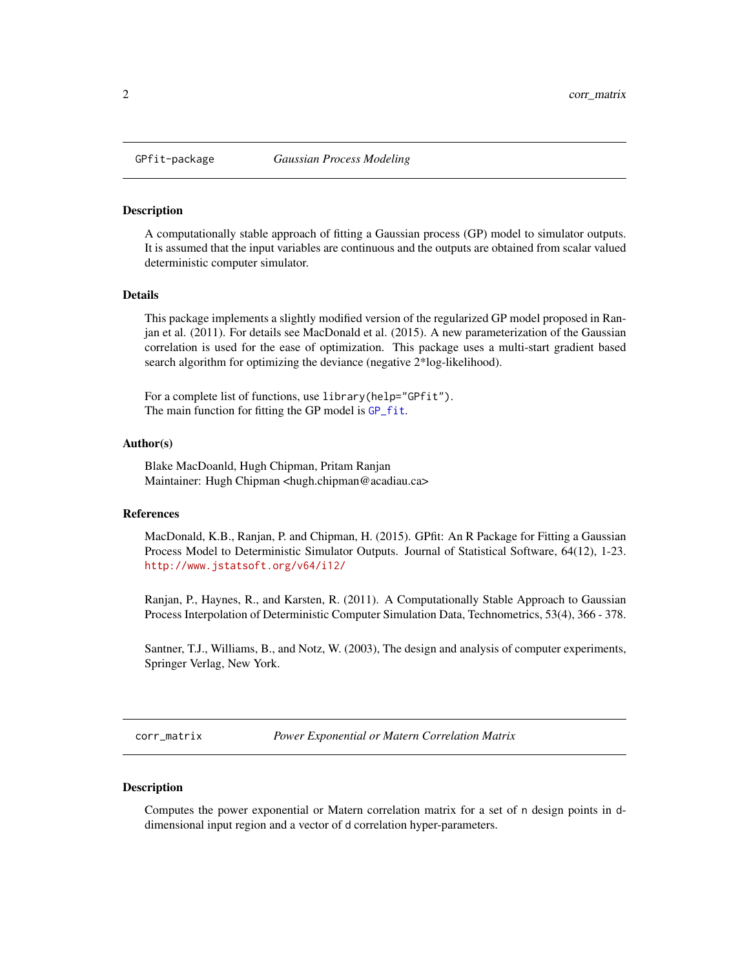<span id="page-1-0"></span>

#### Description

A computationally stable approach of fitting a Gaussian process (GP) model to simulator outputs. It is assumed that the input variables are continuous and the outputs are obtained from scalar valued deterministic computer simulator.

## Details

This package implements a slightly modified version of the regularized GP model proposed in Ranjan et al. (2011). For details see MacDonald et al. (2015). A new parameterization of the Gaussian correlation is used for the ease of optimization. This package uses a multi-start gradient based search algorithm for optimizing the deviance (negative 2\*log-likelihood).

For a complete list of functions, use library(help="GPfit"). The main function for fitting the GP model is [GP\\_fit](#page-5-1).

#### Author(s)

Blake MacDoanld, Hugh Chipman, Pritam Ranjan Maintainer: Hugh Chipman <hugh.chipman@acadiau.ca>

## **References**

MacDonald, K.B., Ranjan, P. and Chipman, H. (2015). GPfit: An R Package for Fitting a Gaussian Process Model to Deterministic Simulator Outputs. Journal of Statistical Software, 64(12), 1-23. <http://www.jstatsoft.org/v64/i12/>

Ranjan, P., Haynes, R., and Karsten, R. (2011). A Computationally Stable Approach to Gaussian Process Interpolation of Deterministic Computer Simulation Data, Technometrics, 53(4), 366 - 378.

Santner, T.J., Williams, B., and Notz, W. (2003), The design and analysis of computer experiments, Springer Verlag, New York.

<span id="page-1-1"></span>corr\_matrix *Power Exponential or Matern Correlation Matrix*

## Description

Computes the power exponential or Matern correlation matrix for a set of n design points in ddimensional input region and a vector of d correlation hyper-parameters.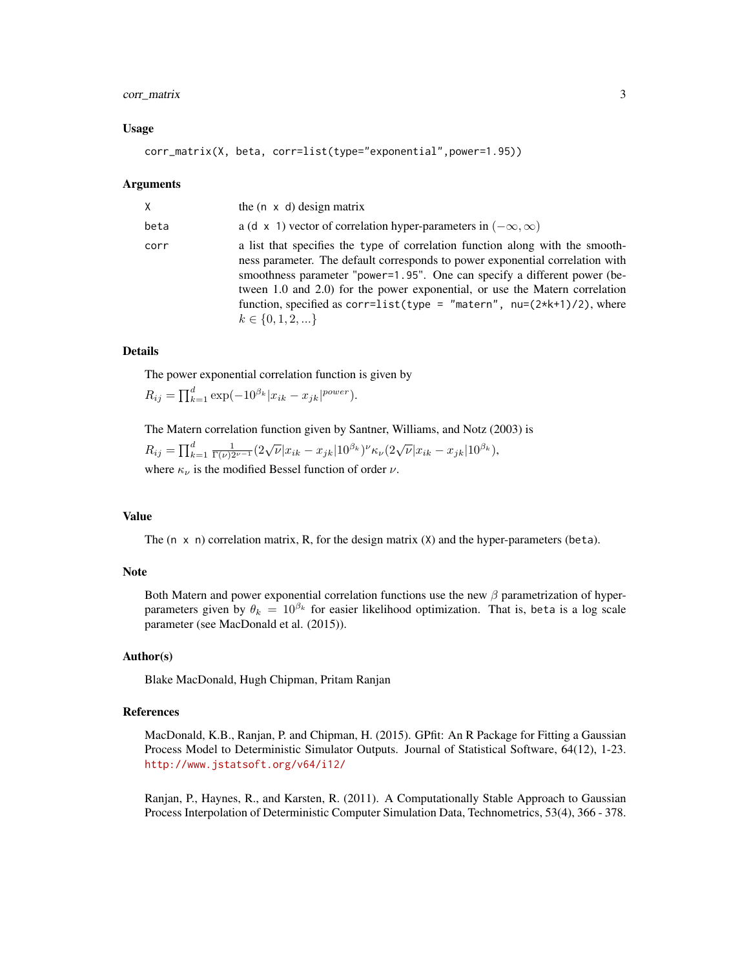## corr\_matrix 3

#### Usage

corr\_matrix(X, beta, corr=list(type="exponential",power=1.95))

#### Arguments

| X    | the $(n \times d)$ design matrix                                                                                                                                                                                                                                                                                                                                                                                                 |
|------|----------------------------------------------------------------------------------------------------------------------------------------------------------------------------------------------------------------------------------------------------------------------------------------------------------------------------------------------------------------------------------------------------------------------------------|
| beta | a (d x 1) vector of correlation hyper-parameters in $(-\infty, \infty)$                                                                                                                                                                                                                                                                                                                                                          |
| corr | a list that specifies the type of correlation function along with the smooth-<br>ness parameter. The default corresponds to power exponential correlation with<br>smoothness parameter "power=1.95". One can specify a different power (be-<br>tween 1.0 and 2.0) for the power exponential, or use the Matern correlation<br>function, specified as corr=list(type = "matern", $nu=(2*k+1)/2$ ), where<br>$k \in \{0, 1, 2, \}$ |

#### Details

The power exponential correlation function is given by

 $R_{ij} = \prod_{k=1}^{d} \exp(-10^{\beta_k} |x_{ik} - x_{jk}|^{power}).$ 

The Matern correlation function given by Santner, Williams, and Notz (2003) is  $\overline{d}$ 11

$$
R_{ij} = \prod_{k=1}^{d} \frac{1}{\Gamma(\nu)2^{\nu-1}} (2\sqrt{\nu}|x_{ik} - x_{jk}|10^{\beta_k})^{\nu} \kappa_{\nu} (2\sqrt{\nu}|x_{ik} - x_{jk}|10^{\beta_k}),
$$

where  $\kappa_{\nu}$  is the modified Bessel function of order  $\nu$ .

## Value

The  $(n \times n)$  correlation matrix, R, for the design matrix  $(X)$  and the hyper-parameters (beta).

## Note

Both Matern and power exponential correlation functions use the new  $\beta$  parametrization of hyperparameters given by  $\theta_k = 10^{\beta_k}$  for easier likelihood optimization. That is, beta is a log scale parameter (see MacDonald et al. (2015)).

#### Author(s)

Blake MacDonald, Hugh Chipman, Pritam Ranjan

## References

MacDonald, K.B., Ranjan, P. and Chipman, H. (2015). GPfit: An R Package for Fitting a Gaussian Process Model to Deterministic Simulator Outputs. Journal of Statistical Software, 64(12), 1-23. <http://www.jstatsoft.org/v64/i12/>

Ranjan, P., Haynes, R., and Karsten, R. (2011). A Computationally Stable Approach to Gaussian Process Interpolation of Deterministic Computer Simulation Data, Technometrics, 53(4), 366 - 378.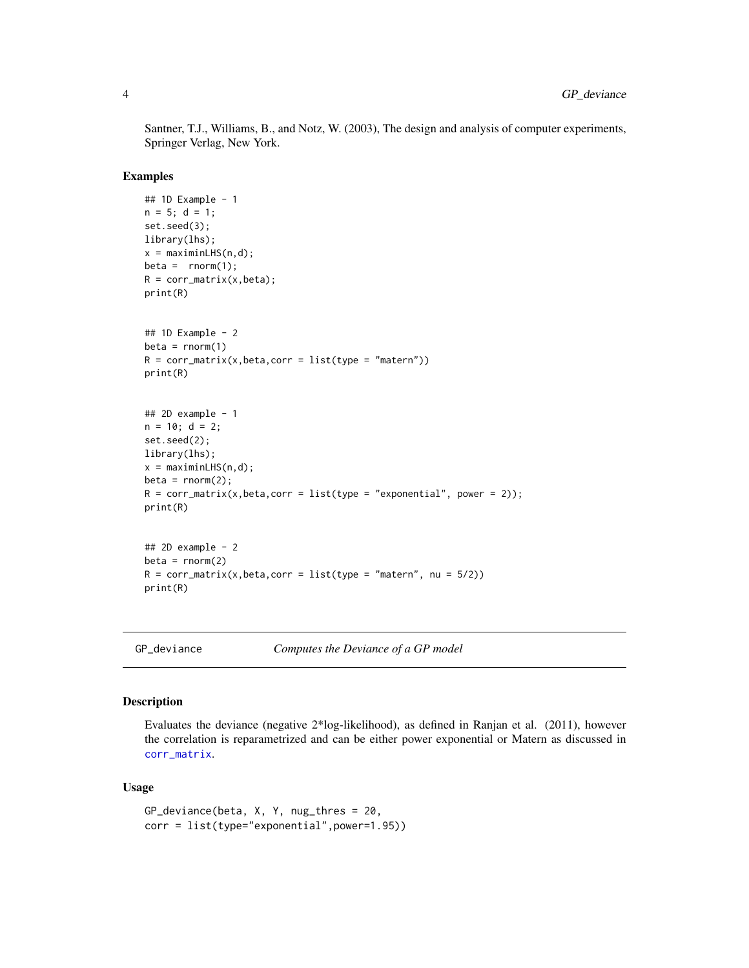Santner, T.J., Williams, B., and Notz, W. (2003), The design and analysis of computer experiments, Springer Verlag, New York.

#### Examples

```
## 1D Example - 1
n = 5; d = 1;
set.seed(3);
library(lhs);
x = maximinLHS(n,d);beta = rnorm(1);R = corr_matrix(x,beta);print(R)
## 1D Example - 2
beta = rnorm(1)R = corr_matrix(x,beta,corr = list(type = "matern"))print(R)
## 2D example - 1
n = 10; d = 2;set.seed(2);
library(lhs);
x = maximinLHS(n,d);beta = rnorm(2);
R = corr_matrix(x,beta,corr = list(type = "exponential", power = 2));print(R)
## 2D example - 2
beta = rnorm(2)R = corr_matrix(x,beta,corr = list(type = "matern", nu = 5/2))print(R)
```
<span id="page-3-1"></span>GP\_deviance *Computes the Deviance of a GP model*

#### Description

Evaluates the deviance (negative 2\*log-likelihood), as defined in Ranjan et al. (2011), however the correlation is reparametrized and can be either power exponential or Matern as discussed in [corr\\_matrix](#page-1-1).

## Usage

```
GP_deviance(beta, X, Y, nug_thres = 20,
corr = list(type="exponential",power=1.95))
```
<span id="page-3-0"></span>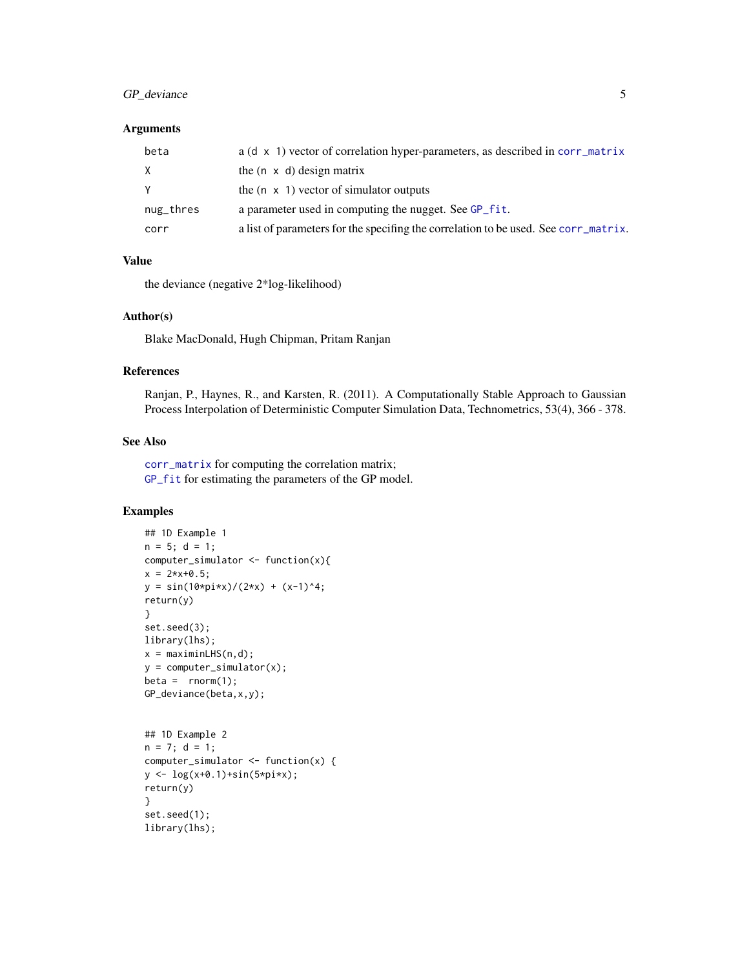## <span id="page-4-0"></span>GP\_deviance 5

#### Arguments

| beta      | $a(d \times 1)$ vector of correlation hyper-parameters, as described in corr_matrix |
|-----------|-------------------------------------------------------------------------------------|
| X         | the $(n \times d)$ design matrix                                                    |
| Y         | the $(n \times 1)$ vector of simulator outputs                                      |
| nug_thres | a parameter used in computing the nugget. See GP_fit.                               |
| corr      | a list of parameters for the specifing the correlation to be used. See corr_matrix. |

## Value

the deviance (negative 2\*log-likelihood)

## Author(s)

Blake MacDonald, Hugh Chipman, Pritam Ranjan

## References

Ranjan, P., Haynes, R., and Karsten, R. (2011). A Computationally Stable Approach to Gaussian Process Interpolation of Deterministic Computer Simulation Data, Technometrics, 53(4), 366 - 378.

### See Also

[corr\\_matrix](#page-1-1) for computing the correlation matrix; [GP\\_fit](#page-5-1) for estimating the parameters of the GP model.

```
## 1D Example 1
n = 5; d = 1;
computer_simulator <- function(x){
x = 2*x+0.5;y = sin(10*pi*x)/(2*x) + (x-1)^4;return(y)
}
set.seed(3);
library(lhs);
x = maximinLHS(n,d);y = computer_simulator(x);
beta = rnorm(1);GP_deviance(beta,x,y);
```

```
## 1D Example 2
n = 7; d = 1;
computer_simulator <- function(x) {
y <- log(x+0.1)+sin(5*pi*x);
return(y)
}
set.seed(1);
library(lhs);
```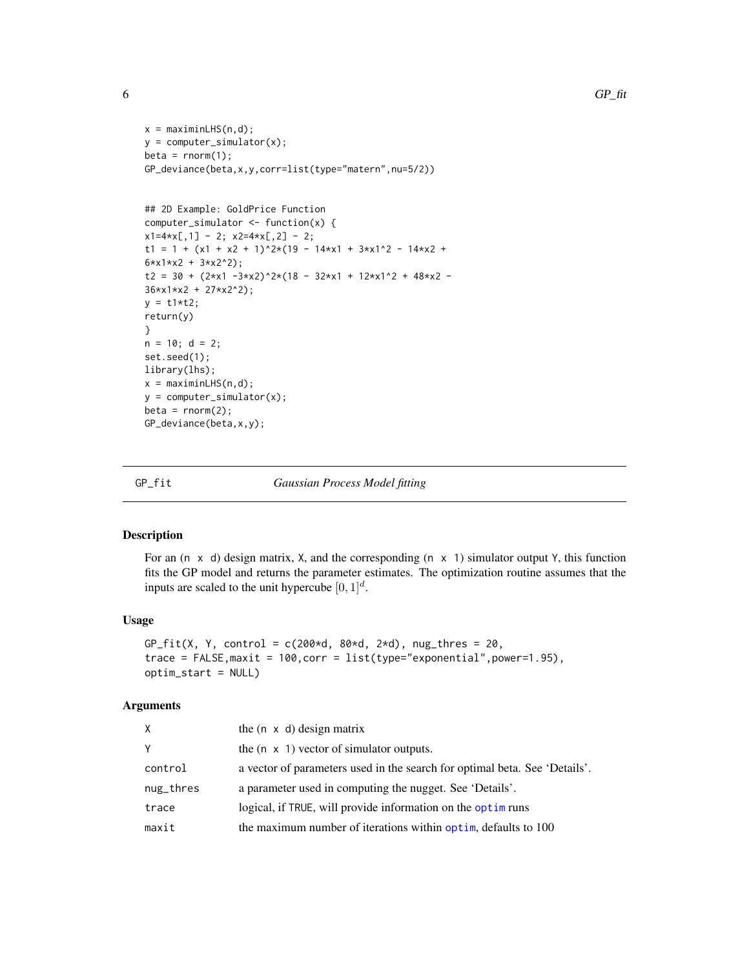```
x = maximinLHS(n,d);y = computer_simulator(x);
beta = rnorm(1);GP_deviance(beta,x,y,corr=list(type="matern",nu=5/2))
## 2D Example: GoldPrice Function
computer_simulator <- function(x) {
x1=4*x[, 1] - 2; x2=4*x[, 2] - 2;t1 = 1 + (x1 + x2 + 1)^2*(19 - 14*x1 + 3*x1^2 - 14*x2 +
6*x1*x2 + 3*x2^2);
t2 = 30 + (2*x1 - 3*x2)^2*(18 - 32*x1 + 12*x1^2 + 48*x2 -36*x1*x2 + 27*x2^2);
y = t1*t2;return(y)
}
n = 10; d = 2;set.seed(1);
library(lhs);
x = maximinLHS(n,d);y = computer_simulator(x);
beta = rnorm(2);GP_deviance(beta,x,y);
```
<span id="page-5-1"></span>

GP\_fit *Gaussian Process Model fitting*

#### Description

For an  $(n \times d)$  design matrix, X, and the corresponding  $(n \times 1)$  simulator output Y, this function fits the GP model and returns the parameter estimates. The optimization routine assumes that the inputs are scaled to the unit hypercube  $[0, 1]^d$ .

#### Usage

```
GP_fit(X, Y, control = c(200*d, 80*d, 2*d), nug_thres = 20,trace = FALSE,maxit = 100,corr = list(type="exponential",power=1.95),
optim_start = NULL)
```
## Arguments

| X.        | the $(n \times d)$ design matrix                                           |
|-----------|----------------------------------------------------------------------------|
| Y         | the $(n \times 1)$ vector of simulator outputs.                            |
| control   | a vector of parameters used in the search for optimal beta. See 'Details'. |
| nug_thres | a parameter used in computing the nugget. See 'Details'.                   |
| trace     | logical, if TRUE, will provide information on the optim runs               |
| maxit     | the maximum number of iterations within optim, defaults to 100             |

<span id="page-5-0"></span>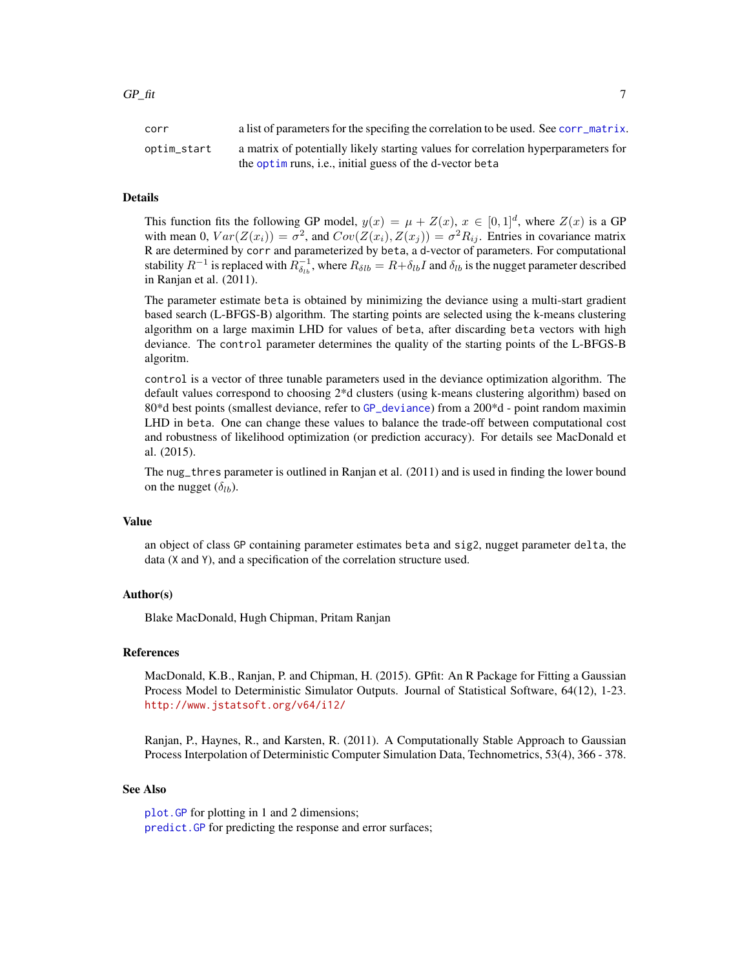#### <span id="page-6-0"></span>Details

This function fits the following GP model,  $y(x) = \mu + Z(x)$ ,  $x \in [0,1]^d$ , where  $Z(x)$  is a GP with mean 0,  $Var(Z(x_i)) = \sigma^2$ , and  $Cov(Z(x_i), Z(x_j)) = \sigma^2 R_{ij}$ . Entries in covariance matrix R are determined by corr and parameterized by beta, a d-vector of parameters. For computational stability  $R^{-1}$  is replaced with  $R_{\delta_{lb}}^{-1}$ , where  $R_{\delta{lb}} = R + \delta_{lb}I$  and  $\delta_{lb}$  is the nugget parameter described in Ranjan et al. (2011).

The parameter estimate beta is obtained by minimizing the deviance using a multi-start gradient based search (L-BFGS-B) algorithm. The starting points are selected using the k-means clustering algorithm on a large maximin LHD for values of beta, after discarding beta vectors with high deviance. The control parameter determines the quality of the starting points of the L-BFGS-B algoritm.

control is a vector of three tunable parameters used in the deviance optimization algorithm. The default values correspond to choosing 2\*d clusters (using k-means clustering algorithm) based on 80\*d best points (smallest deviance, refer to [GP\\_deviance](#page-3-1)) from a 200\*d - point random maximin LHD in beta. One can change these values to balance the trade-off between computational cost and robustness of likelihood optimization (or prediction accuracy). For details see MacDonald et al. (2015).

The nug\_thres parameter is outlined in Ranjan et al. (2011) and is used in finding the lower bound on the nugget  $(\delta_{1b})$ .

#### Value

an object of class GP containing parameter estimates beta and sig2, nugget parameter delta, the data (X and Y), and a specification of the correlation structure used.

## Author(s)

Blake MacDonald, Hugh Chipman, Pritam Ranjan

## References

MacDonald, K.B., Ranjan, P. and Chipman, H. (2015). GPfit: An R Package for Fitting a Gaussian Process Model to Deterministic Simulator Outputs. Journal of Statistical Software, 64(12), 1-23. <http://www.jstatsoft.org/v64/i12/>

Ranjan, P., Haynes, R., and Karsten, R. (2011). A Computationally Stable Approach to Gaussian Process Interpolation of Deterministic Computer Simulation Data, Technometrics, 53(4), 366 - 378.

#### See Also

[plot.GP](#page-8-1) for plotting in 1 and 2 dimensions; [predict.GP](#page-10-1) for predicting the response and error surfaces;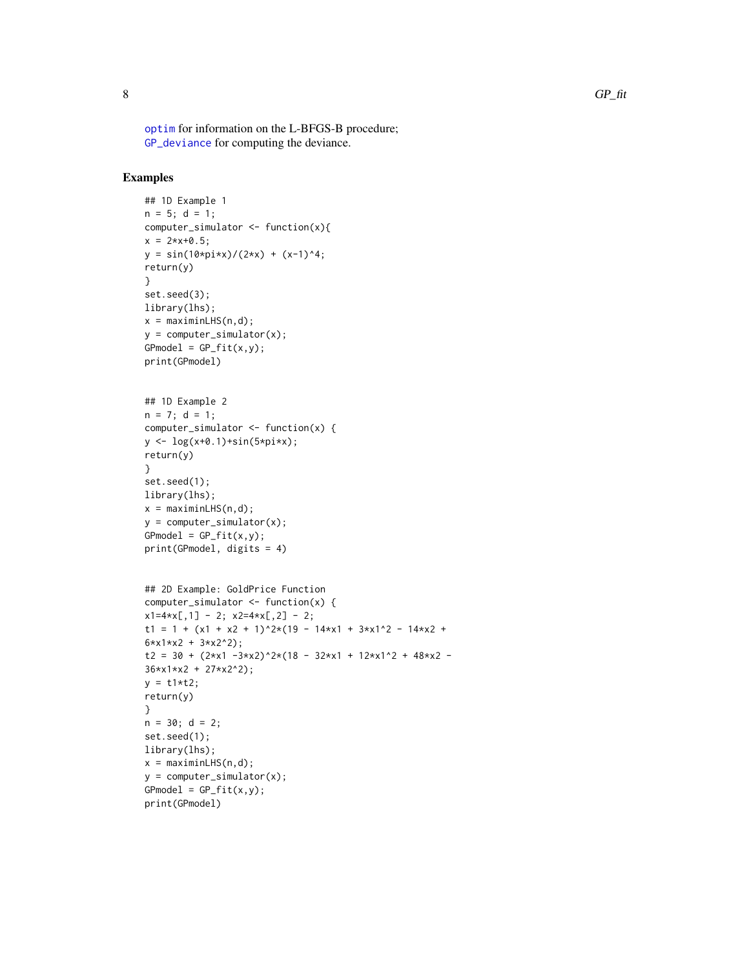<span id="page-7-0"></span>[optim](#page-0-0) for information on the L-BFGS-B procedure; [GP\\_deviance](#page-3-1) for computing the deviance.

```
## 1D Example 1
n = 5; d = 1;
computer_simulator <- function(x){
x = 2*x+0.5;y = sin(10*pi*x)/(2*x) + (x-1)^4;return(y)
}
set.seed(3);
library(lhs);
x = maximinLHS(n,d);y = computer_simulator(x);
GPmodel = GP_fit(x,y);print(GPmodel)
## 1D Example 2
n = 7; d = 1;
computer_simulator <- function(x) {
y <- log(x+0.1)+sin(5*pi*x);
return(y)
}
set.seed(1);
library(lhs);
x = maximinLHS(n,d);y = computer_simulator(x);
GPmodel = GP_fit(x,y);print(GPmodel, digits = 4)
## 2D Example: GoldPrice Function
computer_simulator <- function(x) {
x1=4*x[, 1] - 2; x2=4*x[, 2] - 2;t1 = 1 + (x1 + x2 + 1)^2*(19 - 14*x1 + 3*x1^2 - 14*x2 +
6*x1*x2 + 3*x2^2);
t2 = 30 + (2*x1 - 3*x2)^2*(18 - 32*x1 + 12*x1^2 + 48*x2 -36*x1*x2 + 27*x2^2);
y = t1*t2;return(y)
}
n = 30; d = 2;
set.seed(1);
library(lhs);
x = maximinLHS(n,d);y = computer_simulator(x);
GPmodel = GP_fitt(x,y);print(GPmodel)
```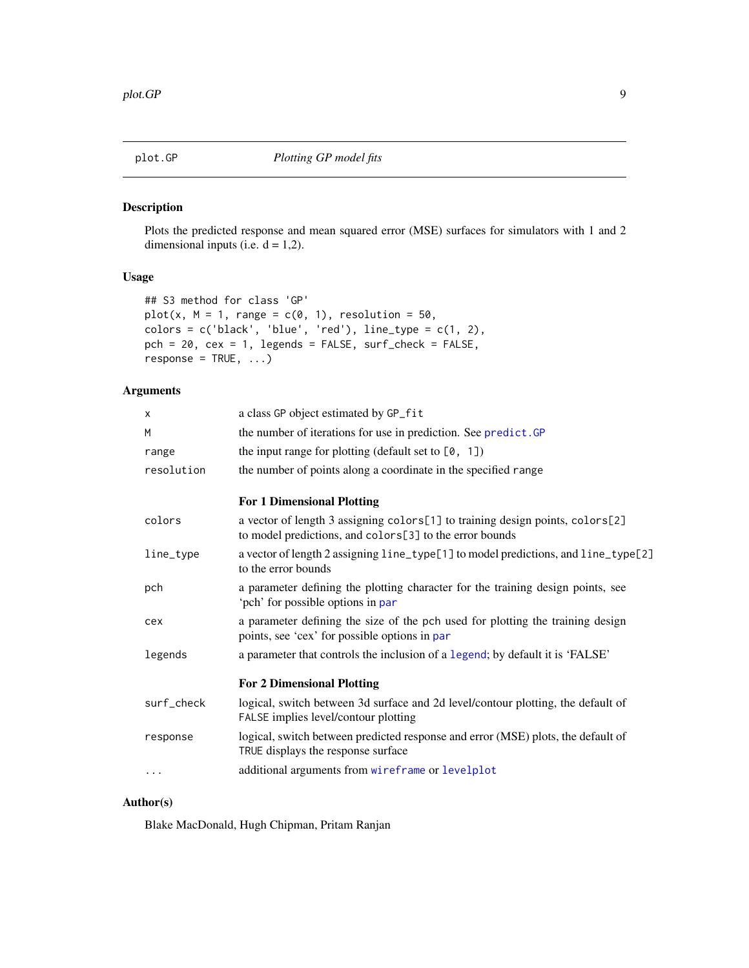<span id="page-8-1"></span><span id="page-8-0"></span>

## Description

Plots the predicted response and mean squared error (MSE) surfaces for simulators with 1 and 2 dimensional inputs (i.e.  $d = 1,2$ ).

## Usage

```
## S3 method for class 'GP'
plot(x, M = 1, range = c(0, 1), resolution = 50,colors = c('black', 'blue', 'red'), line_type = c(1, 2),pch = 20, cex = 1, legends = FALSE, surf_check = FALSE,
response = TRUE, ...
```
## Arguments

| x          | a class GP object estimated by GP_fit                                                                                                    |
|------------|------------------------------------------------------------------------------------------------------------------------------------------|
| M          | the number of iterations for use in prediction. See predict. GP                                                                          |
| range      | the input range for plotting (default set to $[0, 1]$ )                                                                                  |
| resolution | the number of points along a coordinate in the specified range                                                                           |
|            | <b>For 1 Dimensional Plotting</b>                                                                                                        |
| colors     | a vector of length 3 assigning colors[1] to training design points, colors[2]<br>to model predictions, and colors[3] to the error bounds |
| line_type  | a vector of length 2 assigning line_type[1] to model predictions, and line_type[2]<br>to the error bounds                                |
| pch        | a parameter defining the plotting character for the training design points, see<br>'pch' for possible options in par                     |
| cex        | a parameter defining the size of the pch used for plotting the training design<br>points, see 'cex' for possible options in par          |
| legends    | a parameter that controls the inclusion of a legend; by default it is 'FALSE'                                                            |
|            | <b>For 2 Dimensional Plotting</b>                                                                                                        |
| surf_check | logical, switch between 3d surface and 2d level/contour plotting, the default of<br>FALSE implies level/contour plotting                 |
| response   | logical, switch between predicted response and error (MSE) plots, the default of<br>TRUE displays the response surface                   |
| $\cdots$   | additional arguments from wireframe or levelplot                                                                                         |
|            |                                                                                                                                          |

## Author(s)

Blake MacDonald, Hugh Chipman, Pritam Ranjan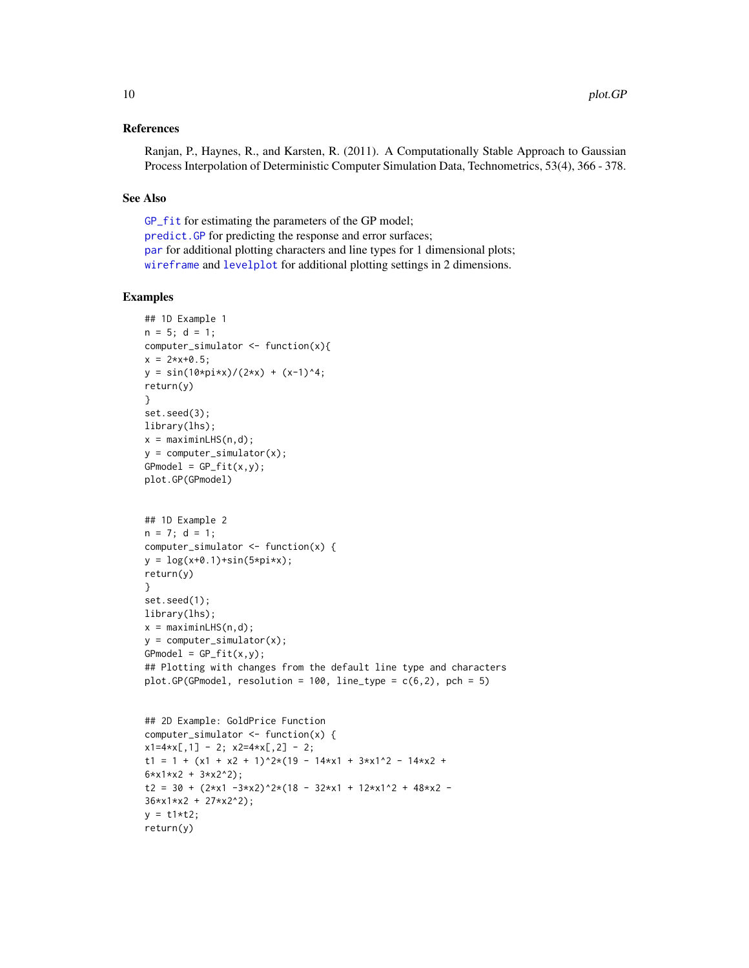### <span id="page-9-0"></span>References

Ranjan, P., Haynes, R., and Karsten, R. (2011). A Computationally Stable Approach to Gaussian Process Interpolation of Deterministic Computer Simulation Data, Technometrics, 53(4), 366 - 378.

#### See Also

[GP\\_fit](#page-5-1) for estimating the parameters of the GP model; [predict.GP](#page-10-1) for predicting the response and error surfaces; [par](#page-0-0) for additional plotting characters and line types for 1 dimensional plots; [wireframe](#page-0-0) and [levelplot](#page-0-0) for additional plotting settings in 2 dimensions.

## Examples

```
## 1D Example 1
n = 5; d = 1;
computer_simulator <- function(x){
x = 2*x+0.5;y = sin(10*pi*x)/(2*x) + (x-1)^4;return(y)
}
set.seed(3);
library(lhs);
x = maximinLHS(n,d);y = computer_simulator(x);
GPmodel = GP_fit(x,y);plot.GP(GPmodel)
## 1D Example 2
n = 7; d = 1;
computer_simulator <- function(x) {
y = \log(x+0.1) + \sin(5 \times pi \times x);return(y)
}
set.seed(1);
library(lhs);
x = maximinLHS(n,d);y = computer_simulator(x);
GPmodel = GP_fit(x,y);## Plotting with changes from the default line type and characters
plot.GP(GPmodel, resolution = 100, line_type = c(6,2), pch = 5)
## 2D Example: GoldPrice Function
computer_simulator <- function(x) {
x1=4*x[, 1] - 2; x2=4*x[, 2] - 2;t1 = 1 + (x1 + x2 + 1)^{2}*(19 - 14*x1 + 3*x1^2 - 14*x2 +6*x1*x2 + 3*x2^2);
```
t2 = 30 +  $(2*x1 - 3*x2)^2*(18 - 32*x1 + 12*x1^2 + 48*x2 -$ 36\*x1\*x2 + 27\*x2^2);  $y = t1*t2;$ return(y)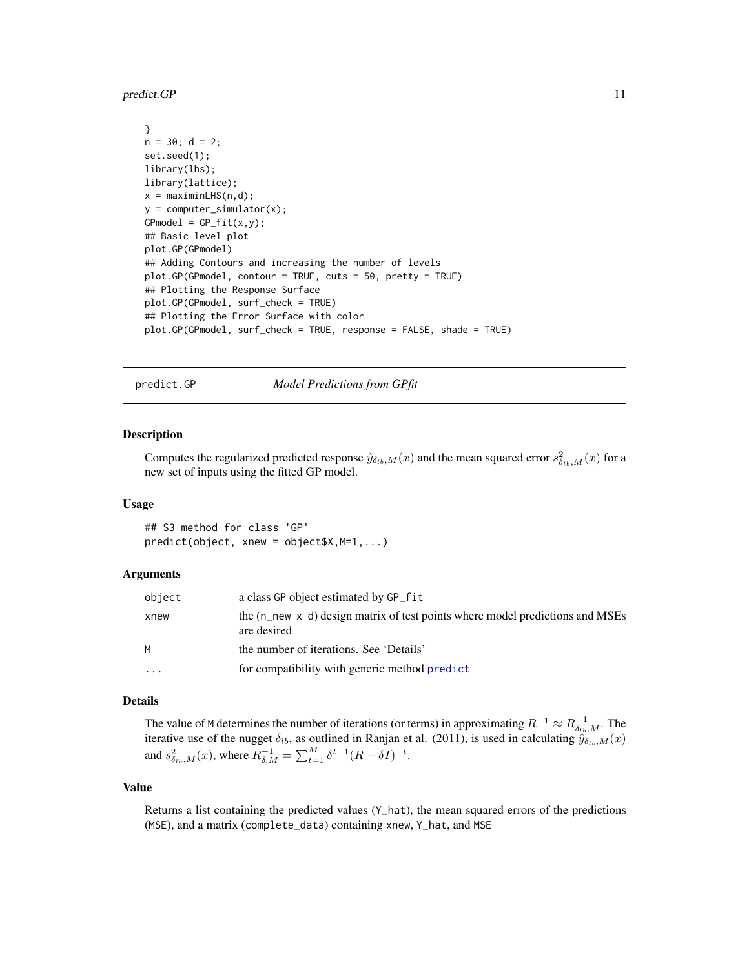<span id="page-10-0"></span>predict.GP 11

```
}
n = 30; d = 2;set.seed(1);
library(lhs);
library(lattice);
x = maximinLHS(n,d);y = computer_simulator(x);
GPmodel = GP_fitt(x,y);## Basic level plot
plot.GP(GPmodel)
## Adding Contours and increasing the number of levels
plot.GP(GPmodel, contour = TRUE, cuts = 50, pretty = TRUE)
## Plotting the Response Surface
plot.GP(GPmodel, surf_check = TRUE)
## Plotting the Error Surface with color
plot.GP(GPmodel, surf_check = TRUE, response = FALSE, shade = TRUE)
```
<span id="page-10-1"></span>predict.GP *Model Predictions from GPfit*

#### Description

Computes the regularized predicted response  $\hat{y}_{\delta_{lb},M}(x)$  and the mean squared error  $s_{\delta_{lb},M}^2(x)$  for a new set of inputs using the fitted GP model.

## Usage

## S3 method for class 'GP' predict(object, xnew = object\$X,M=1,...)

#### Arguments

| object   | a class GP object estimated by GP_fit                                                                 |
|----------|-------------------------------------------------------------------------------------------------------|
| xnew     | the $(n$ new $\times$ d) design matrix of test points where model predictions and MSEs<br>are desired |
| M        | the number of iterations. See 'Details'                                                               |
| $\cdots$ | for compatibility with generic method predict                                                         |

## Details

The value of M determines the number of iterations (or terms) in approximating  $R^{-1} \approx R_{\delta_{lb},M}^{-1}$ . The iterative use of the nugget  $\delta_{lb}$ , as outlined in Ranjan et al. (2011), is used in calculating  $\hat{y}_{\delta_{lb},M}(x)$ and  $s_{\delta_{lb},M}^2(x)$ , where  $R_{\delta,M}^{-1} = \sum_{t=1}^M \delta^{t-1} (R + \delta I)^{-t}$ .

## Value

Returns a list containing the predicted values  $(Y<sub>-</sub>hat)$ , the mean squared errors of the predictions (MSE), and a matrix (complete\_data) containing xnew, Y\_hat, and MSE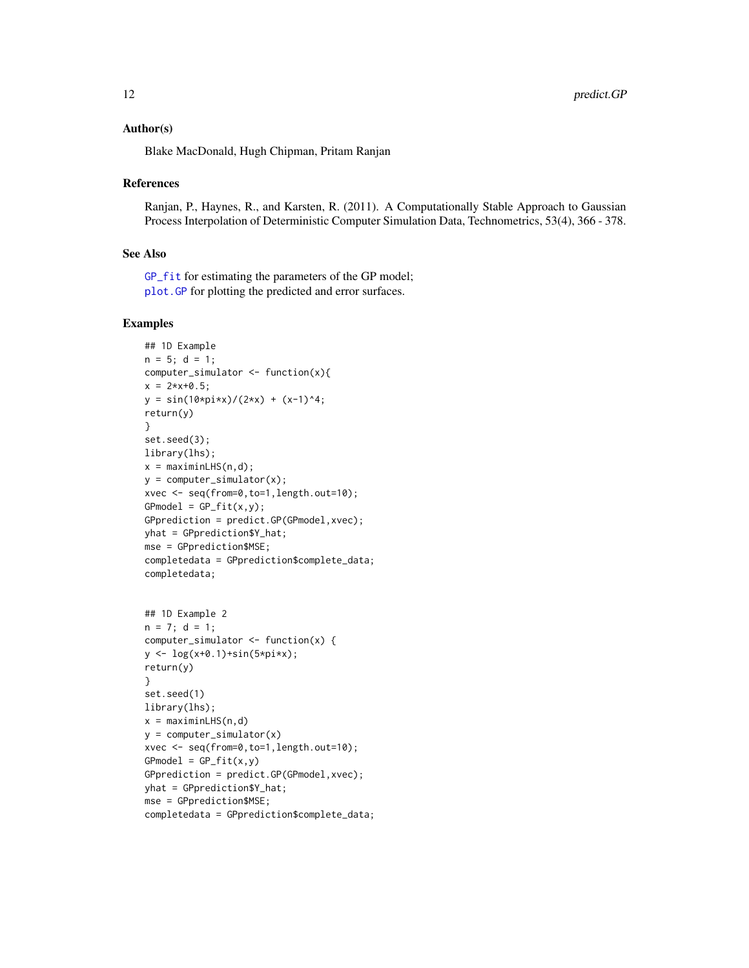#### <span id="page-11-0"></span>Author(s)

Blake MacDonald, Hugh Chipman, Pritam Ranjan

#### References

Ranjan, P., Haynes, R., and Karsten, R. (2011). A Computationally Stable Approach to Gaussian Process Interpolation of Deterministic Computer Simulation Data, Technometrics, 53(4), 366 - 378.

#### See Also

[GP\\_fit](#page-5-1) for estimating the parameters of the GP model; [plot.GP](#page-8-1) for plotting the predicted and error surfaces.

```
## 1D Example
n = 5; d = 1;
computer_simulator <- function(x){
x = 2*x+0.5;y = \sin(10 \times \pi) \times \frac{1}{2 \times x} + (x-1)^2;
return(y)
}
set.seed(3);
library(lhs);
x = maximinLHS(n,d);y = computer_simulator(x);
xvec <- seq(from=0,to=1,length.out=10);
GPmodel = GP_fit(x,y);GPprediction = predict.GP(GPmodel,xvec);
yhat = GPprediction$Y_hat;
mse = GPprediction$MSE;
completedata = GPprediction$complete_data;
completedata;
## 1D Example 2
n = 7; d = 1;
computer_simulator <- function(x) {
y \leftarrow \log(x+0.1) + \sin(5 \times pi \times x);return(y)
}
set.seed(1)
library(lhs);
x = maximinLHS(n,d)y = computer_simulator(x)
xvec <- seq(from=0,to=1,length.out=10);
GPmodel = GP_fit(x,y)GPprediction = predict.GP(GPmodel,xvec);
yhat = GPprediction$Y_hat;
mse = GPprediction$MSE;
```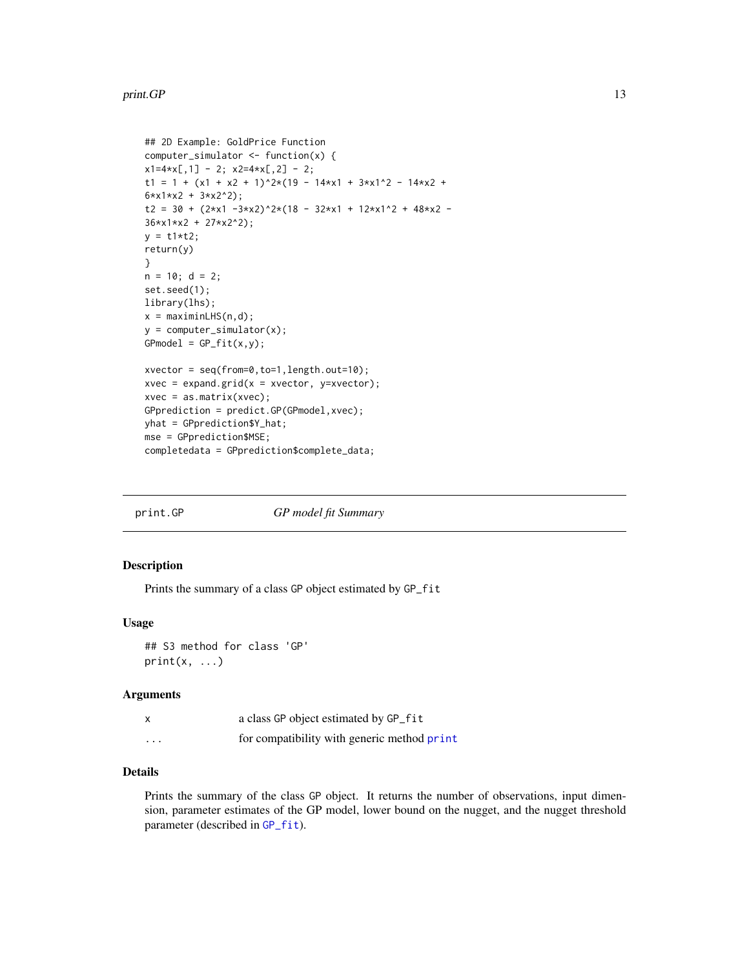#### <span id="page-12-0"></span>print.GP 13

```
## 2D Example: GoldPrice Function
computer_simulator <- function(x) {
x1=4*x[, 1] - 2; x2=4*x[, 2] - 2;t1 = 1 + (x1 + x2 + 1)^{2}*(19 - 14*x1 + 3*x1^2 - 14*x2 +6*x1*x2 + 3*x2^2);
t2 = 30 + (2*x1 - 3*x2)^2*(18 - 32*x1 + 12*x1^2 + 48*x2 -36*x1*x2 + 27*x2^2);
y = t1*t2;return(y)
}
n = 10; d = 2;set.seed(1);
library(lhs);
x = maximinLHS(n,d);y = computer_simulator(x);
GPmodel = GP_fit(x,y);xvector = seq(from=0,to=1,length.out=10);
xvec = expand.grid(x = xvector, y = xvector);xvec = as.matrix(xvec);GPprediction = predict.GP(GPmodel,xvec);
yhat = GPprediction$Y_hat;
mse = GPprediction$MSE;
completedata = GPprediction$complete_data;
```
<span id="page-12-1"></span>

| print.GP | GP model fit Summary |
|----------|----------------------|
|          |                      |

## Description

Prints the summary of a class GP object estimated by GP\_fit

## Usage

```
## S3 method for class 'GP'
print(x, \ldots)
```
#### Arguments

|   | a class GP object estimated by GP_fit       |
|---|---------------------------------------------|
| . | for compatibility with generic method print |

## Details

Prints the summary of the class GP object. It returns the number of observations, input dimension, parameter estimates of the GP model, lower bound on the nugget, and the nugget threshold parameter (described in [GP\\_fit](#page-5-1)).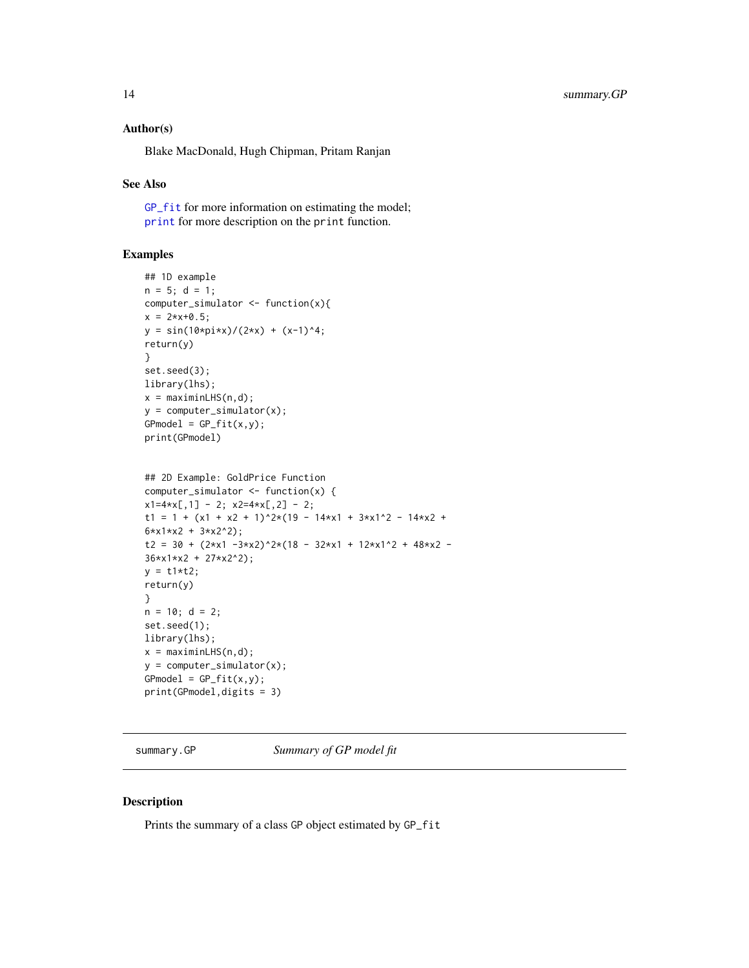### <span id="page-13-0"></span>Author(s)

Blake MacDonald, Hugh Chipman, Pritam Ranjan

#### See Also

[GP\\_fit](#page-5-1) for more information on estimating the model; [print](#page-0-0) for more description on the print function.

## Examples

```
## 1D example
n = 5; d = 1;
computer_simulator <- function(x){
x = 2*x+0.5;y = sin(10*pi*x)/(2*x) + (x-1)^4;return(y)
}
set.seed(3);
library(lhs);
x = maximinLHS(n,d);y = computer_simulator(x);
GPmodel = GP_fit(x,y);print(GPmodel)
```

```
## 2D Example: GoldPrice Function
computer_simulator <- function(x) {
x1=4*x[, 1] - 2; x2=4*x[, 2] - 2;t1 = 1 + (x1 + x2 + 1)^2*(19 - 14*x1 + 3*x1^2 - 14*x2 +
6*x1*x2 + 3*x2^2);
t2 = 30 + (2*x1 - 3*x2)^2*(18 - 32*x1 + 12*x1^2 + 48*x2 -36*x1*x2 + 27*x2^2);
y = t1*t2;return(y)
}
n = 10; d = 2;set.seed(1);
library(lhs);
x = maximinLHS(n,d);y = computer_simulator(x);
GPmodel = GP_fit(x,y);print(GPmodel,digits = 3)
```
summary.GP *Summary of GP model fit*

## Description

Prints the summary of a class GP object estimated by GP\_fit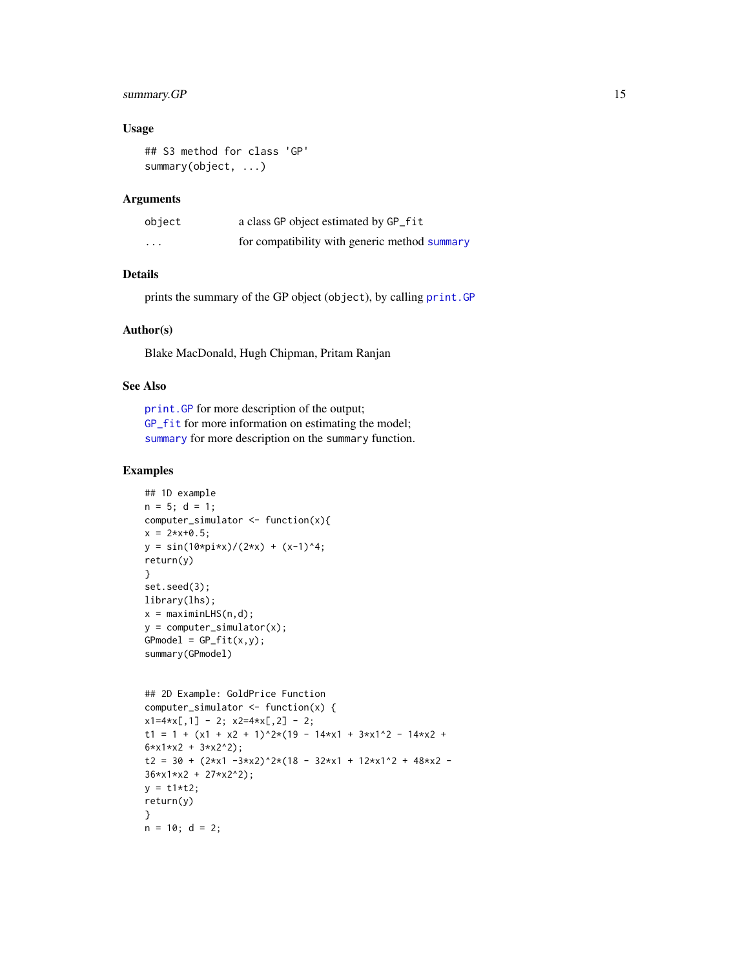## <span id="page-14-0"></span>summary.GP 15

### Usage

```
## S3 method for class 'GP'
summary(object, ...)
```
#### Arguments

| object   | a class GP object estimated by GP_fit         |
|----------|-----------------------------------------------|
| $\cdots$ | for compatibility with generic method summary |

## Details

prints the summary of the GP object (object), by calling [print.GP](#page-12-1)

## Author(s)

Blake MacDonald, Hugh Chipman, Pritam Ranjan

## See Also

[print.GP](#page-12-1) for more description of the output; [GP\\_fit](#page-5-1) for more information on estimating the model; [summary](#page-0-0) for more description on the summary function.

```
## 1D example
n = 5; d = 1;
computer_simulator <- function(x){
x = 2*x+0.5;y = sin(10*pi*x)/(2*x) + (x-1)^4;return(y)
}
set.seed(3);
library(lhs);
x = maximinLHS(n,d);y = computer_simulator(x);
GPmodel = GP_fitt(x,y);summary(GPmodel)
## 2D Example: GoldPrice Function
computer_simulator <- function(x) {
x1=4*x[, 1] - 2; x2=4*x[, 2] - 2;t1 = 1 + (x1 + x2 + 1)^2*(19 - 14*x1 + 3*x1^2 - 14*x2 +
6*x1*x2 + 3*x2^2);
t2 = 30 + (2*x1 - 3*x2)^2*(18 - 32*x1 + 12*x1^2 + 48*x2 -36*x1*x2 + 27*x2^2);
y = t1*t2;return(y)
}
n = 10; d = 2;
```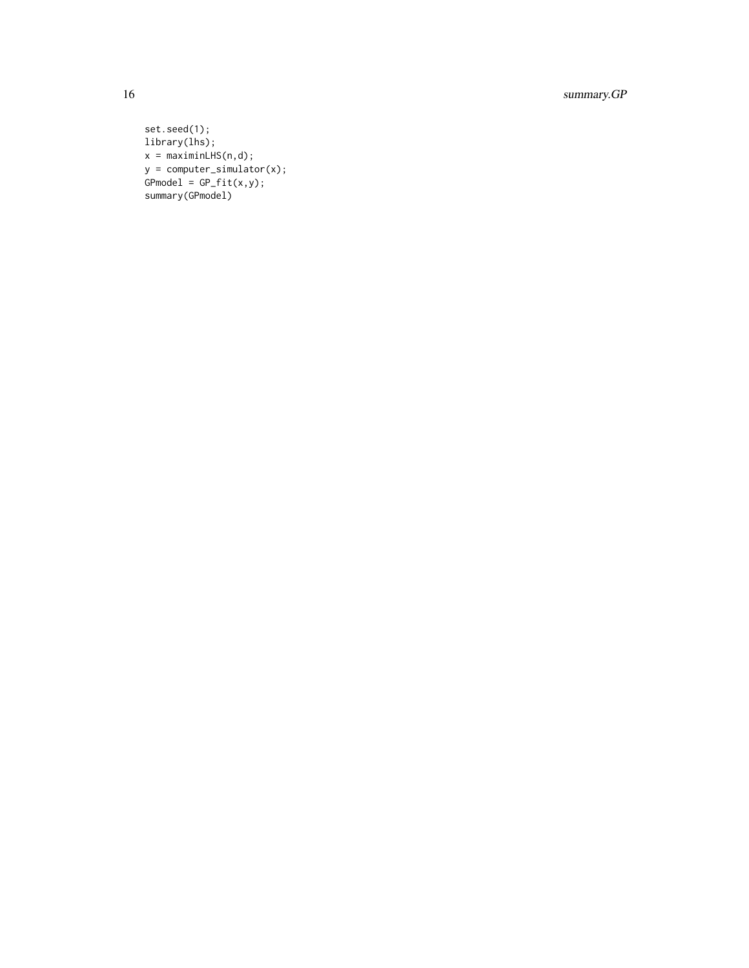16 summary.GP

```
set.seed(1);
library(lhs);
x = maximinLHS(n,d);y = computer_simulator(x);
GPmodel = GP_fit(x,y);summary(GPmodel)
```